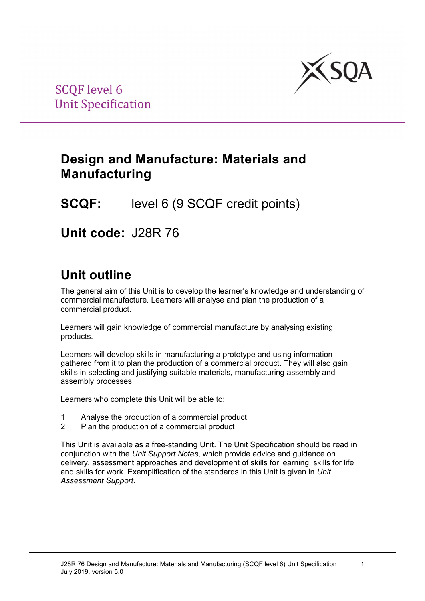

## **Design and Manufacture: Materials and Manufacturing**

## **SCQF:** level 6 (9 SCQF credit points)

**Unit code:** J28R 76

# **Unit outline**

The general aim of this Unit is to develop the learner's knowledge and understanding of commercial manufacture. Learners will analyse and plan the production of a commercial product.

Learners will gain knowledge of commercial manufacture by analysing existing products.

Learners will develop skills in manufacturing a prototype and using information gathered from it to plan the production of a commercial product. They will also gain skills in selecting and justifying suitable materials, manufacturing assembly and assembly processes.

Learners who complete this Unit will be able to:

- 1 Analyse the production of a commercial product
- 2 Plan the production of a commercial product

This Unit is available as a free-standing Unit. The Unit Specification should be read in conjunction with the *Unit Support Notes*, which provide advice and guidance on delivery, assessment approaches and development of skills for learning, skills for life and skills for work. Exemplification of the standards in this Unit is given in *Unit Assessment Support*.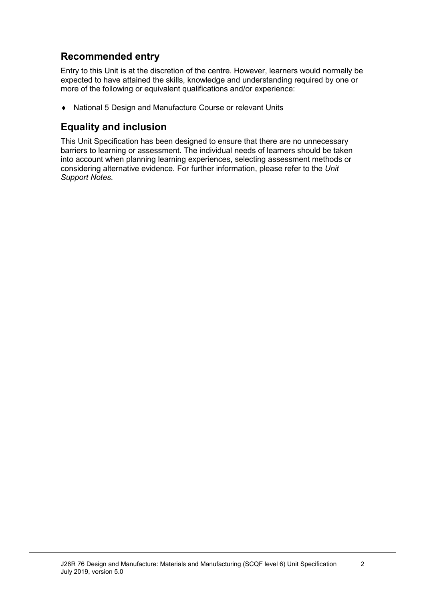### **Recommended entry**

Entry to this Unit is at the discretion of the centre. However, learners would normally be expected to have attained the skills, knowledge and understanding required by one or more of the following or equivalent qualifications and/or experience:

♦ National 5 Design and Manufacture Course or relevant Units

### **Equality and inclusion**

This Unit Specification has been designed to ensure that there are no unnecessary barriers to learning or assessment. The individual needs of learners should be taken into account when planning learning experiences, selecting assessment methods or considering alternative evidence. For further information, please refer to the *Unit Support Notes.*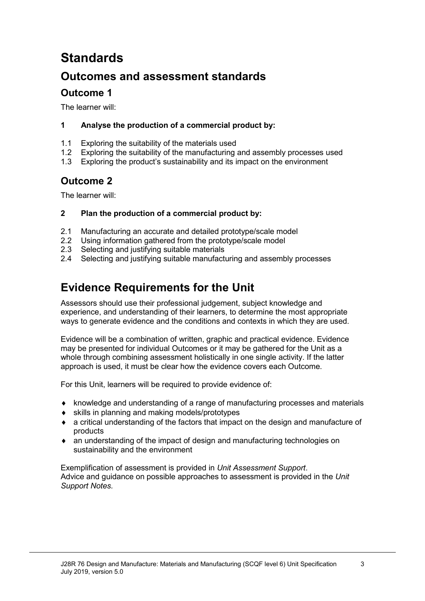# **Standards**

## **Outcomes and assessment standards**

### **Outcome 1**

The learner will:

#### **1 Analyse the production of a commercial product by:**

- 1.1 Exploring the suitability of the materials used
- 1.2 Exploring the suitability of the manufacturing and assembly processes used
- 1.3 Exploring the product's sustainability and its impact on the environment

### **Outcome 2**

The learner will:

#### **2 Plan the production of a commercial product by:**

- 2.1 Manufacturing an accurate and detailed prototype/scale model
- 2.2 Using information gathered from the prototype/scale model
- 2.3 Selecting and justifying suitable materials
- 2.4 Selecting and justifying suitable manufacturing and assembly processes

## **Evidence Requirements for the Unit**

Assessors should use their professional judgement, subject knowledge and experience, and understanding of their learners, to determine the most appropriate ways to generate evidence and the conditions and contexts in which they are used.

Evidence will be a combination of written, graphic and practical evidence. Evidence may be presented for individual Outcomes or it may be gathered for the Unit as a whole through combining assessment holistically in one single activity. If the latter approach is used, it must be clear how the evidence covers each Outcome.

For this Unit, learners will be required to provide evidence of:

- ♦ knowledge and understanding of a range of manufacturing processes and materials
- ♦ skills in planning and making models/prototypes
- ♦ a critical understanding of the factors that impact on the design and manufacture of products
- ♦ an understanding of the impact of design and manufacturing technologies on sustainability and the environment

Exemplification of assessment is provided in *Unit Assessment Support*. Advice and guidance on possible approaches to assessment is provided in the *Unit Support Notes.*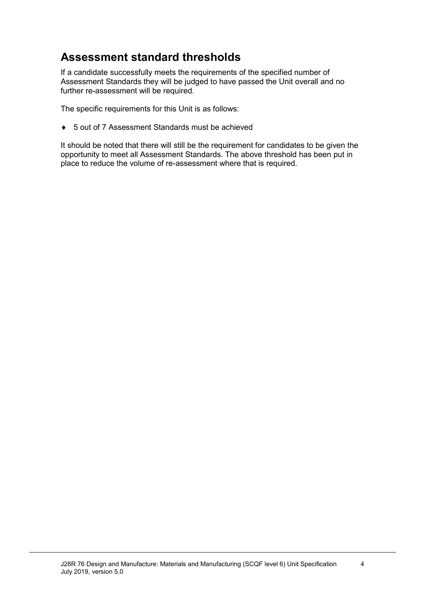## **Assessment standard thresholds**

If a candidate successfully meets the requirements of the specified number of Assessment Standards they will be judged to have passed the Unit overall and no further re-assessment will be required.

The specific requirements for this Unit is as follows:

♦ 5 out of 7 Assessment Standards must be achieved

It should be noted that there will still be the requirement for candidates to be given the opportunity to meet all Assessment Standards. The above threshold has been put in place to reduce the volume of re-assessment where that is required.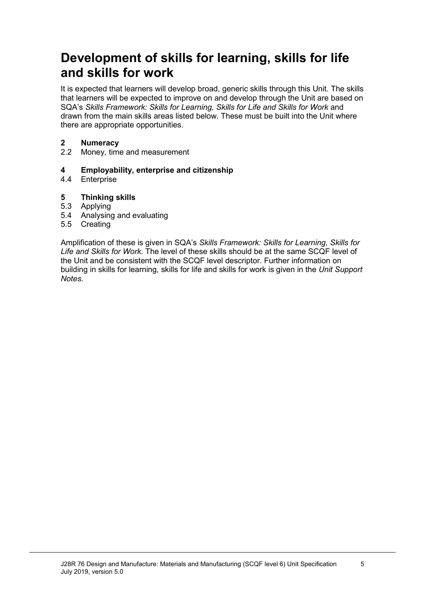## **Development of skills for learning, skills for life and skills for work**

It is expected that learners will develop broad, generic skills through this Unit. The skills that learners will be expected to improve on and develop through the Unit are based on SQA's *Skills Framework: Skills for Learning, Skills for Life and Skills for Work and* drawn from the main skills areas listed below. These must be built into the Unit where there are appropriate opportunities.

# **2 Numeracy**

Money, time and measurement

#### **4 Employability, enterprise and citizenship**

4.4 Enterprise

#### **5 Thinking skills**

- 5.3 Applying
- 5.4 Analysing and evaluating
- 5.5 Creating

Amplification of these is given in SQA's *Skills Framework: Skills for Learning, Skills for Life and Skills for Work.* The level of these skills should be at the same SCQF level of the Unit and be consistent with the SCQF level descriptor. Further information on building in skills for learning, skills for life and skills for work is given in the *Unit Support Notes.*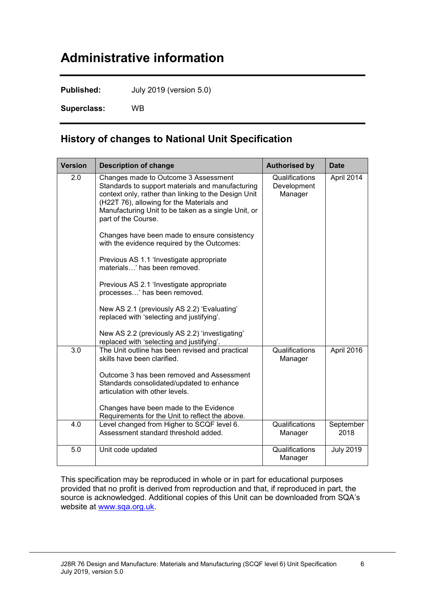# **Administrative information**

**Published:** July 2019 (version 5.0)

**Superclass:** WB

### **History of changes to National Unit Specification**

| <b>Version</b> | <b>Description of change</b>                                                                                                                                                                                                                                                                                                                                                                                                                                                                                                       | <b>Authorised by</b>                     | <b>Date</b>       |
|----------------|------------------------------------------------------------------------------------------------------------------------------------------------------------------------------------------------------------------------------------------------------------------------------------------------------------------------------------------------------------------------------------------------------------------------------------------------------------------------------------------------------------------------------------|------------------------------------------|-------------------|
| 2.0            | Changes made to Outcome 3 Assessment<br>Standards to support materials and manufacturing<br>context only, rather than linking to the Design Unit<br>(H22T 76), allowing for the Materials and<br>Manufacturing Unit to be taken as a single Unit, or<br>part of the Course.<br>Changes have been made to ensure consistency<br>with the evidence required by the Outcomes:<br>Previous AS 1.1 'Investigate appropriate<br>materials' has been removed.<br>Previous AS 2.1 'Investigate appropriate<br>processes' has been removed. | Qualifications<br>Development<br>Manager | April 2014        |
|                | New AS 2.1 (previously AS 2.2) 'Evaluating'<br>replaced with 'selecting and justifying'.<br>New AS 2.2 (previously AS 2.2) 'investigating'<br>replaced with 'selecting and justifying'.                                                                                                                                                                                                                                                                                                                                            |                                          |                   |
| 3.0            | The Unit outline has been revised and practical<br>skills have been clarified.<br>Outcome 3 has been removed and Assessment<br>Standards consolidated/updated to enhance<br>articulation with other levels.<br>Changes have been made to the Evidence<br>Requirements for the Unit to reflect the above.                                                                                                                                                                                                                           | Qualifications<br>Manager                | April 2016        |
| 4.0            | Level changed from Higher to SCQF level 6.<br>Assessment standard threshold added.                                                                                                                                                                                                                                                                                                                                                                                                                                                 | Qualifications<br>Manager                | September<br>2018 |
| 5.0            | Unit code updated                                                                                                                                                                                                                                                                                                                                                                                                                                                                                                                  | Qualifications<br>Manager                | <b>July 2019</b>  |

This specification may be reproduced in whole or in part for educational purposes provided that no profit is derived from reproduction and that, if reproduced in part, the source is acknowledged. Additional copies of this Unit can be downloaded from SQA's website at [www.sqa.org.uk.](http://www.sqa.org.uk/)